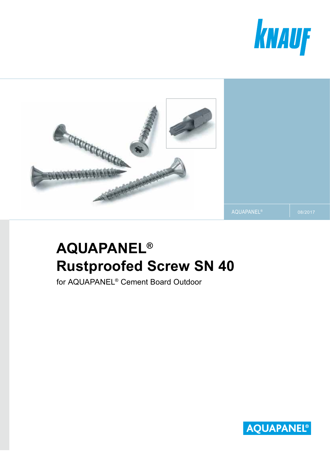



# **AQUAPANEL® Rustproofed Screw SN 40**

for AQUAPANEL® Cement Board Outdoor